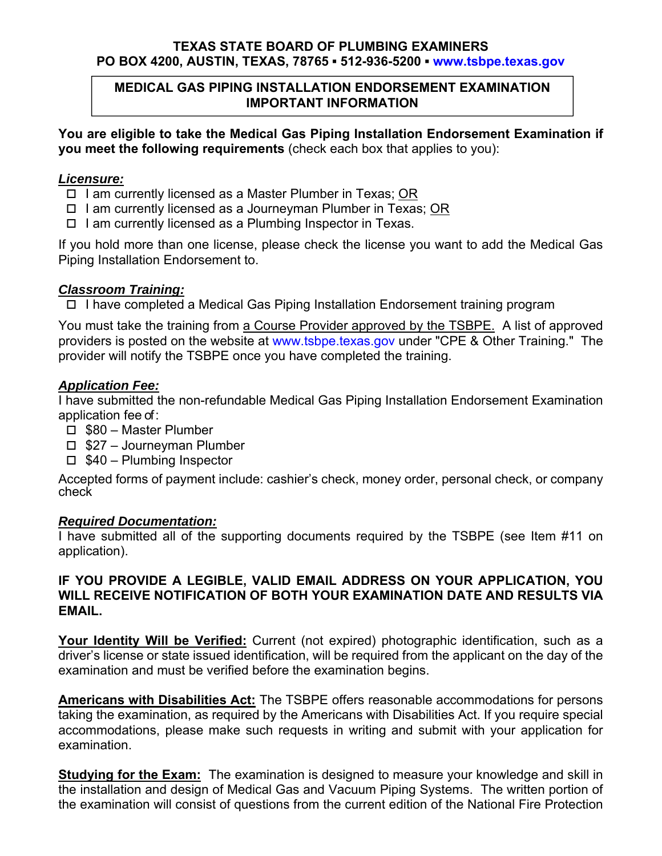# **TEXAS STATE BOARD OF PLUMBING EXAMINERS PO BOX 4200, AUSTIN, TEXAS, 78765 ▪ 512-936-5200 ▪ www.tsbpe.texas.gov**

# **MEDICAL GAS PIPING INSTALLATION ENDORSEMENT EXAMINATION IMPORTANT INFORMATION**

**You are eligible to take the Medical Gas Piping Installation Endorsement Examination if you meet the following requirements** (check each box that applies to you):

#### *Licensure:*

- $\Box$  I am currently licensed as a Master Plumber in Texas; OR
- $\Box$  I am currently licensed as a Journeyman Plumber in Texas; OR
- $\Box$  I am currently licensed as a Plumbing Inspector in Texas.

If you hold more than one license, please check the license you want to add the Medical Gas Piping Installation Endorsement to.

### *Classroom Training:*

 $\Box$  I have completed a Medical Gas Piping Installation Endorsement training program

You must take the training from a Course Provider approved by the TSBPE. A list of approved providers is posted on the website at www.tsbpe.texas.gov under "CPE & Other Training." The provider will notify the TSBPE once you have completed the training.

# *Application Fee:*

I have submitted the non-refundable Medical Gas Piping Installation Endorsement Examination application fee of :

- □ \$80 Master Plumber
- $\Box$  \$27 Journeyman Plumber
- $\Box$  \$40 Plumbing Inspector

Accepted forms of payment include: cashier's check, money order, personal check, or company check

### *Required Documentation:*

I have submitted all of the supporting documents required by the TSBPE (see Item #11 on application).

# **IF YOU PROVIDE A LEGIBLE, VALID EMAIL ADDRESS ON YOUR APPLICATION, YOU WILL RECEIVE NOTIFICATION OF BOTH YOUR EXAMINATION DATE AND RESULTS VIA EMAIL.**

**Your Identity Will be Verified:** Current (not expired) photographic identification, such as a driver's license or state issued identification, will be required from the applicant on the day of the examination and must be verified before the examination begins.

**Americans with Disabilities Act:** The TSBPE offers reasonable accommodations for persons taking the examination, as required by the Americans with Disabilities Act. If you require special accommodations, please make such requests in writing and submit with your application for examination.

**Studying for the Exam:** The examination is designed to measure your knowledge and skill in the installation and design of Medical Gas and Vacuum Piping Systems. The written portion of the examination will consist of questions from the current edition of the National Fire Protection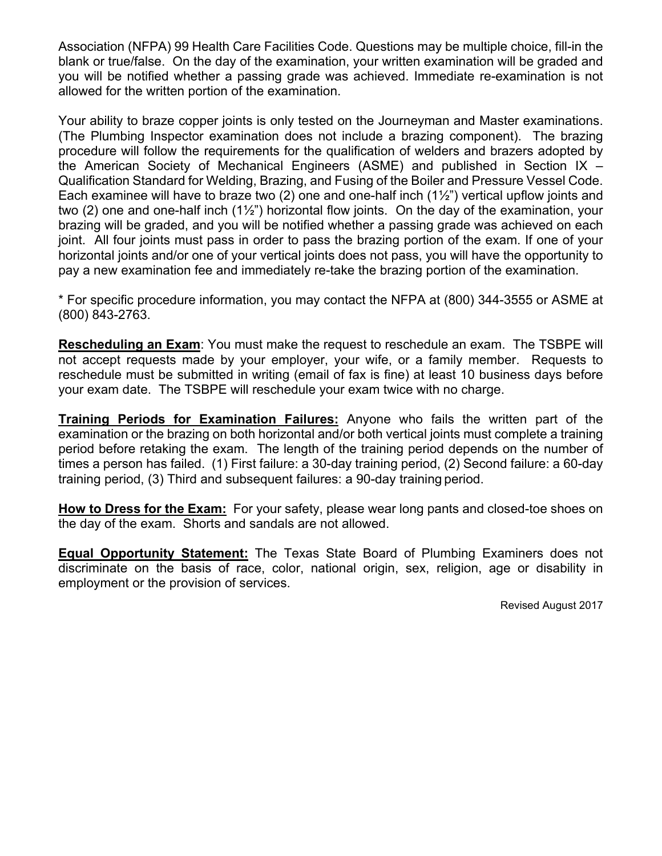Association (NFPA) 99 Health Care Facilities Code. Questions may be multiple choice, fill-in the blank or true/false. On the day of the examination, your written examination will be graded and you will be notified whether a passing grade was achieved. Immediate re-examination is not allowed for the written portion of the examination.

Your ability to braze copper joints is only tested on the Journeyman and Master examinations. (The Plumbing Inspector examination does not include a brazing component). The brazing procedure will follow the requirements for the qualification of welders and brazers adopted by the American Society of Mechanical Engineers (ASME) and published in Section IX – Qualification Standard for Welding, Brazing, and Fusing of the Boiler and Pressure Vessel Code. Each examinee will have to braze two (2) one and one-half inch (1½") vertical upflow joints and two (2) one and one-half inch (1½") horizontal flow joints. On the day of the examination, your brazing will be graded, and you will be notified whether a passing grade was achieved on each joint. All four joints must pass in order to pass the brazing portion of the exam. If one of your horizontal joints and/or one of your vertical joints does not pass, you will have the opportunity to pay a new examination fee and immediately re-take the brazing portion of the examination.

\* For specific procedure information, you may contact the NFPA at (800) 344-3555 or ASME at (800) 843-2763.

**Rescheduling an Exam**: You must make the request to reschedule an exam. The TSBPE will not accept requests made by your employer, your wife, or a family member. Requests to reschedule must be submitted in writing (email of fax is fine) at least 10 business days before your exam date. The TSBPE will reschedule your exam twice with no charge.

**Training Periods for Examination Failures:** Anyone who fails the written part of the examination or the brazing on both horizontal and/or both vertical joints must complete a training period before retaking the exam. The length of the training period depends on the number of times a person has failed. (1) First failure: a 30-day training period, (2) Second failure: a 60-day training period, (3) Third and subsequent failures: a 90-day training period.

**How to Dress for the Exam:** For your safety, please wear long pants and closed-toe shoes on the day of the exam. Shorts and sandals are not allowed.

**Equal Opportunity Statement:** The Texas State Board of Plumbing Examiners does not discriminate on the basis of race, color, national origin, sex, religion, age or disability in employment or the provision of services.

Revised August 2017